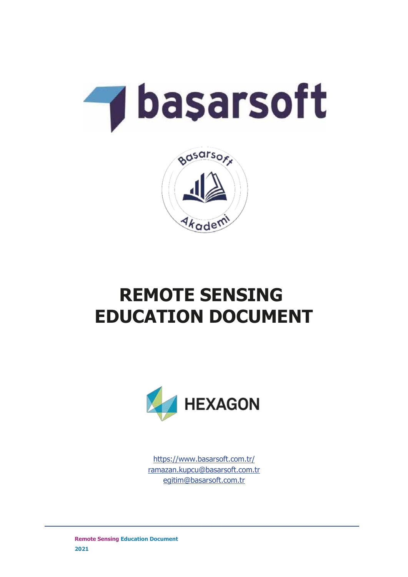



# **REMOTE SENSING EDUCATION DOCUMENT**



https://www.basarsoft.com.tr/ ramazan.kupcu@basarsoft.com.tr egitim@basarsoft.com.tr

**Remote Sensing Education Document 2021**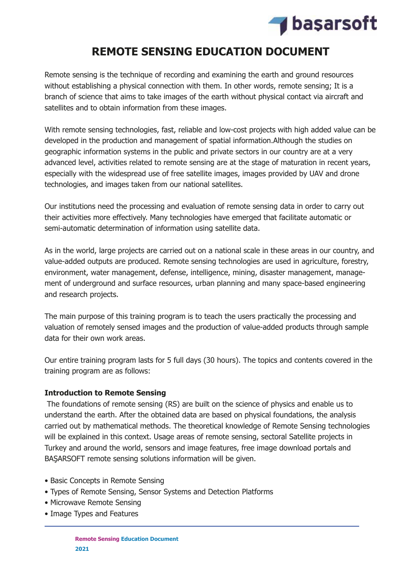

## **REMOTE SENSING EDUCATION DOCUMENT**

Remote sensing is the technique of recording and examining the earth and ground resources without establishing a physical connection with them. In other words, remote sensing; It is a branch of science that aims to take images of the earth without physical contact via aircraft and satellites and to obtain information from these images.

With remote sensing technologies, fast, reliable and low-cost projects with high added value can be developed in the production and management of spatial information.Although the studies on geographic information systems in the public and private sectors in our country are at a very advanced level, activities related to remote sensing are at the stage of maturation in recent years, especially with the widespread use of free satellite images, images provided by UAV and drone technologies, and images taken from our national satellites.

Our institutions need the processing and evaluation of remote sensing data in order to carry out their activities more effectively. Many technologies have emerged that facilitate automatic or semi-automatic determination of information using satellite data.

As in the world, large projects are carried out on a national scale in these areas in our country, and value-added outputs are produced. Remote sensing technologies are used in agriculture, forestry, environment, water management, defense, intelligence, mining, disaster management, management of underground and surface resources, urban planning and many space-based engineering and research projects.

The main purpose of this training program is to teach the users practically the processing and valuation of remotely sensed images and the production of value-added products through sample data for their own work areas.

Our entire training program lasts for 5 full days (30 hours). The topics and contents covered in the training program are as follows:

#### **Introduction to Remote Sensing**

 The foundations of remote sensing (RS) are built on the science of physics and enable us to understand the earth. After the obtained data are based on physical foundations, the analysis carried out by mathematical methods. The theoretical knowledge of Remote Sensing technologies will be explained in this context. Usage areas of remote sensing, sectoral Satellite projects in Turkey and around the world, sensors and image features, free image download portals and BAŞARSOFT remote sensing solutions information will be given.

- Basic Concepts in Remote Sensing
- Types of Remote Sensing, Sensor Systems and Detection Platforms
- Microwave Remote Sensing
- Image Types and Features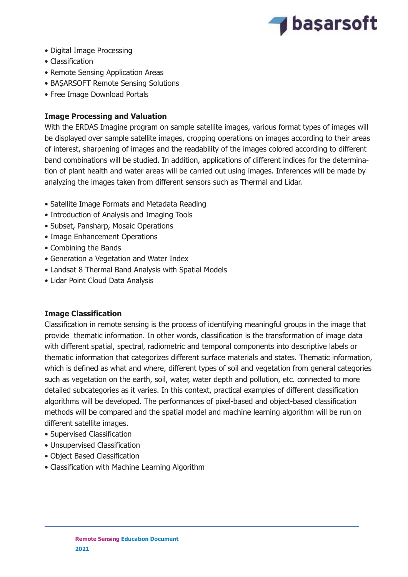

- Digital Image Processing
- Classification
- Remote Sensing Application Areas
- BAŞARSOFT Remote Sensing Solutions
- Free Image Download Portals

### **Image Processing and Valuation**

With the ERDAS Imagine program on sample satellite images, various format types of images will be displayed over sample satellite images, cropping operations on images according to their areas of interest, sharpening of images and the readability of the images colored according to different band combinations will be studied. In addition, applications of different indices for the determination of plant health and water areas will be carried out using images. Inferences will be made by analyzing the images taken from different sensors such as Thermal and Lidar.

- Satellite Image Formats and Metadata Reading
- Introduction of Analysis and Imaging Tools
- Subset, Pansharp, Mosaic Operations
- Image Enhancement Operations
- Combining the Bands
- Generation a Vegetation and Water Index
- Landsat 8 Thermal Band Analysis with Spatial Models
- Lidar Point Cloud Data Analysis

#### **Image Classification**

Classification in remote sensing is the process of identifying meaningful groups in the image that provide thematic information. In other words, classification is the transformation of image data with different spatial, spectral, radiometric and temporal components into descriptive labels or thematic information that categorizes different surface materials and states. Thematic information, which is defined as what and where, different types of soil and vegetation from general categories such as vegetation on the earth, soil, water, water depth and pollution, etc. connected to more detailed subcategories as it varies. In this context, practical examples of different classification algorithms will be developed. The performances of pixel-based and object-based classification methods will be compared and the spatial model and machine learning algorithm will be run on different satellite images.

- Supervised Classification
- Unsupervised Classification
- Object Based Classification
- Classification with Machine Learning Algorithm